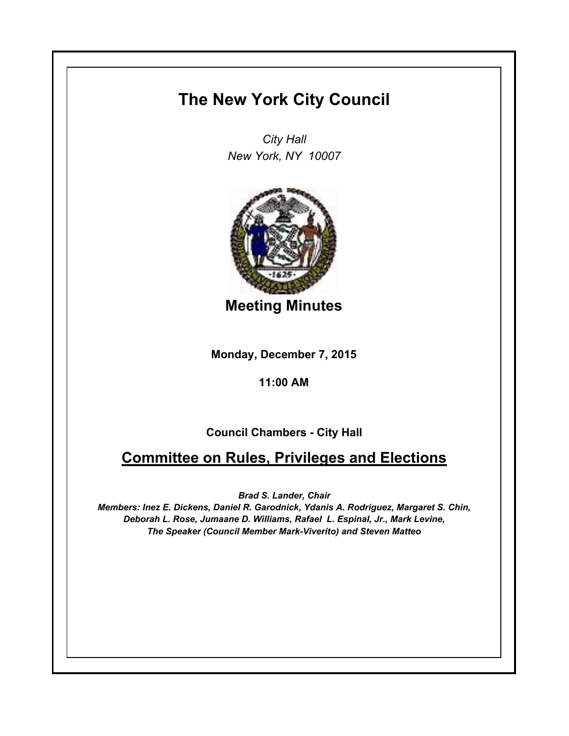## **The New York City Council**

*City Hall New York, NY 10007*



**Meeting Minutes**

**Monday, December 7, 2015**

## **11:00 AM**

## **Council Chambers - City Hall**

## **Committee on Rules, Privileges and Elections**

*Brad S. Lander, Chair*

*Members: Inez E. Dickens, Daniel R. Garodnick, Ydanis A. Rodriguez, Margaret S. Chin, Deborah L. Rose, Jumaane D. Williams, Rafael L. Espinal, Jr., Mark Levine, The Speaker (Council Member Mark-Viverito) and Steven Matteo*